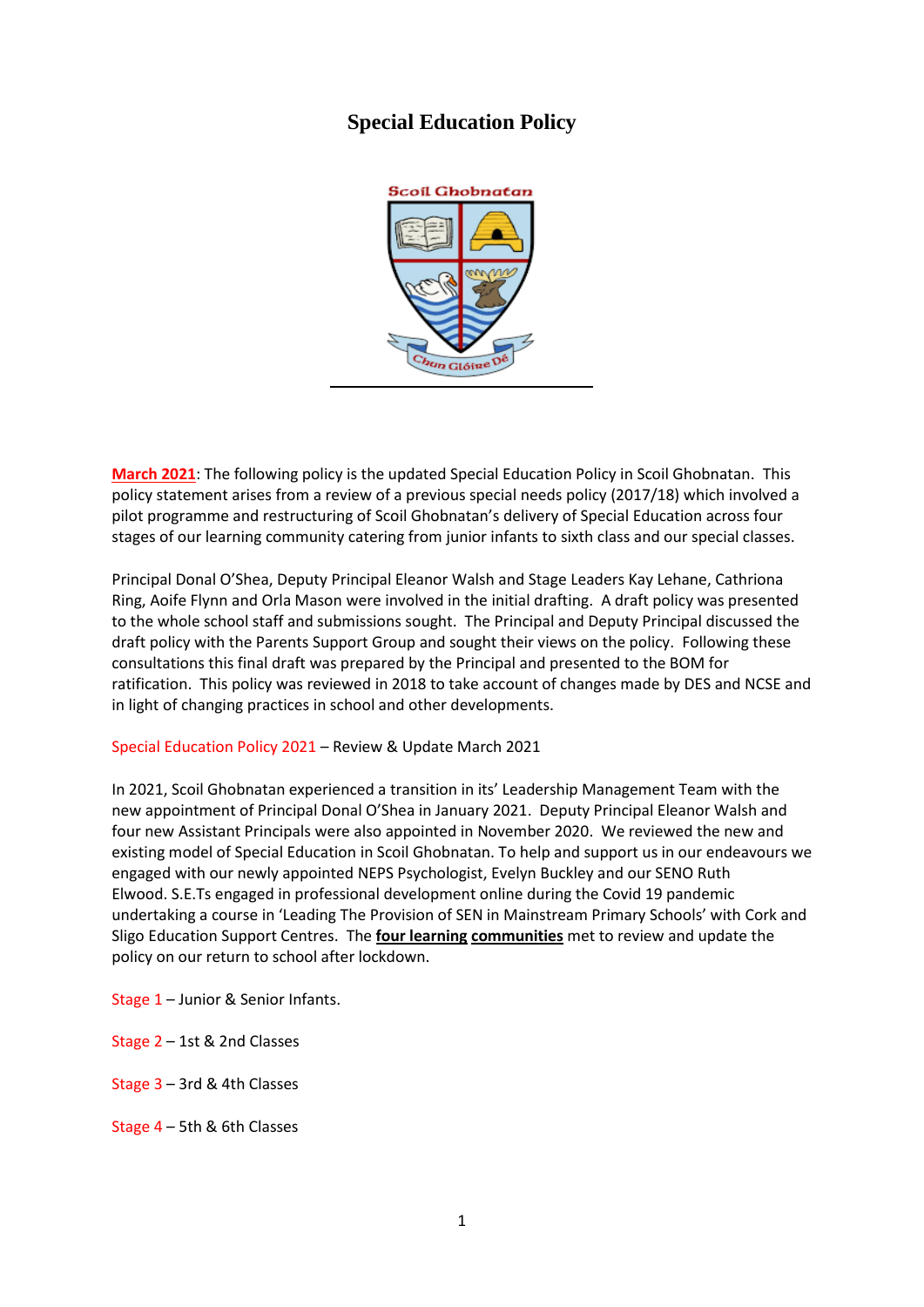# **Special Education Policy**



**March 2021**: The following policy is the updated Special Education Policy in Scoil Ghobnatan. This policy statement arises from a review of a previous special needs policy (2017/18) which involved a pilot programme and restructuring of Scoil Ghobnatan's delivery of Special Education across four stages of our learning community catering from junior infants to sixth class and our special classes.

Principal Donal O'Shea, Deputy Principal Eleanor Walsh and Stage Leaders Kay Lehane, Cathriona Ring, Aoife Flynn and Orla Mason were involved in the initial drafting. A draft policy was presented to the whole school staff and submissions sought. The Principal and Deputy Principal discussed the draft policy with the Parents Support Group and sought their views on the policy. Following these consultations this final draft was prepared by the Principal and presented to the BOM for ratification. This policy was reviewed in 2018 to take account of changes made by DES and NCSE and in light of changing practices in school and other developments.

Special Education Policy 2021 – Review & Update March 2021

In 2021, Scoil Ghobnatan experienced a transition in its' Leadership Management Team with the new appointment of Principal Donal O'Shea in January 2021. Deputy Principal Eleanor Walsh and four new Assistant Principals were also appointed in November 2020. We reviewed the new and existing model of Special Education in Scoil Ghobnatan. To help and support us in our endeavours we engaged with our newly appointed NEPS Psychologist, Evelyn Buckley and our SENO Ruth Elwood. S.E.Ts engaged in professional development online during the Covid 19 pandemic undertaking a course in 'Leading The Provision of SEN in Mainstream Primary Schools' with Cork and Sligo Education Support Centres. The **four learning communities** met to review and update the policy on our return to school after lockdown.

Stage 1 – Junior & Senior Infants.

Stage 2 – 1st & 2nd Classes

Stage 3 – 3rd & 4th Classes

Stage 4 – 5th & 6th Classes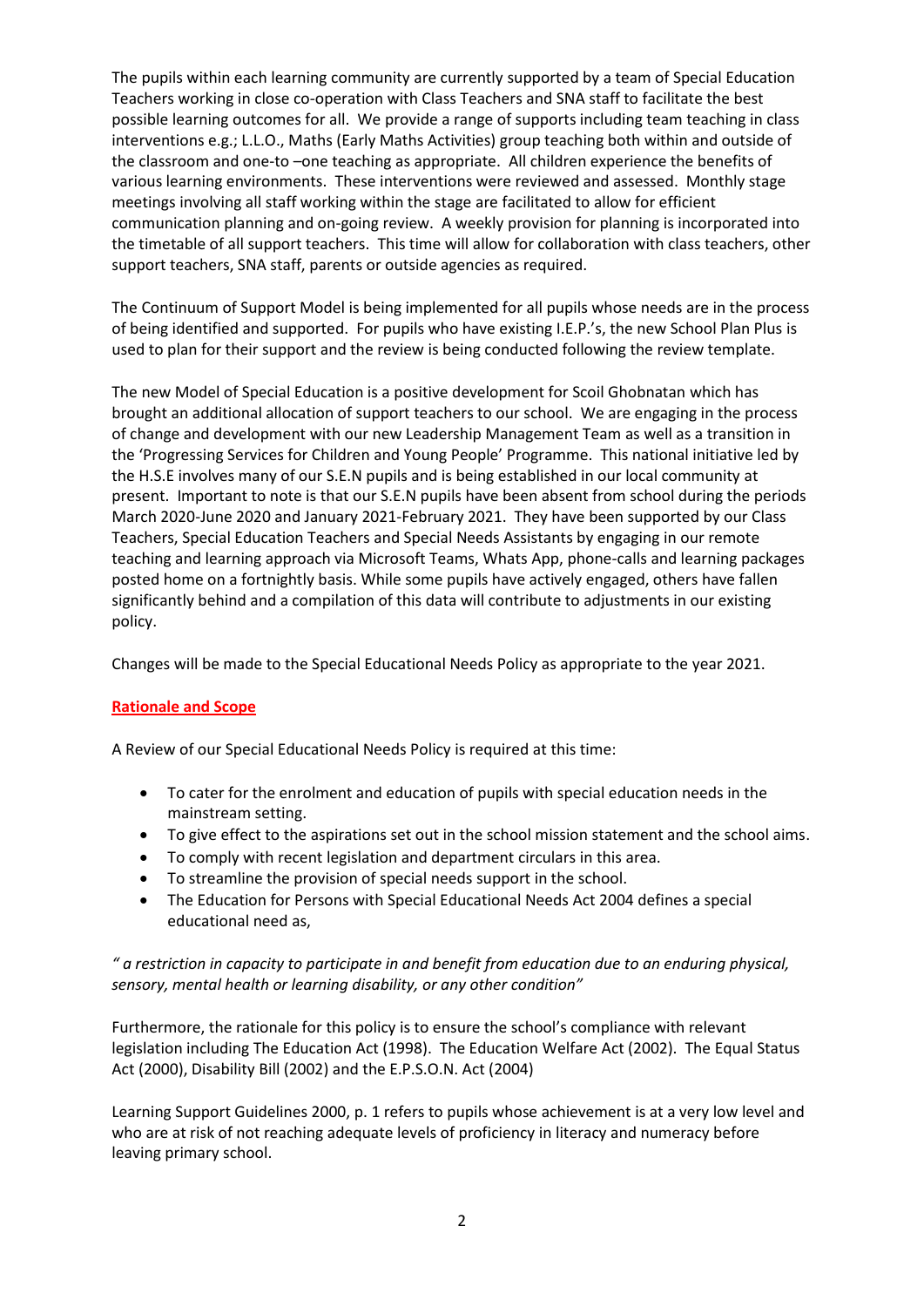The pupils within each learning community are currently supported by a team of Special Education Teachers working in close co-operation with Class Teachers and SNA staff to facilitate the best possible learning outcomes for all. We provide a range of supports including team teaching in class interventions e.g.; L.L.O., Maths (Early Maths Activities) group teaching both within and outside of the classroom and one-to –one teaching as appropriate. All children experience the benefits of various learning environments. These interventions were reviewed and assessed. Monthly stage meetings involving all staff working within the stage are facilitated to allow for efficient communication planning and on-going review. A weekly provision for planning is incorporated into the timetable of all support teachers. This time will allow for collaboration with class teachers, other support teachers, SNA staff, parents or outside agencies as required.

The Continuum of Support Model is being implemented for all pupils whose needs are in the process of being identified and supported. For pupils who have existing I.E.P.'s, the new School Plan Plus is used to plan for their support and the review is being conducted following the review template.

The new Model of Special Education is a positive development for Scoil Ghobnatan which has brought an additional allocation of support teachers to our school. We are engaging in the process of change and development with our new Leadership Management Team as well as a transition in the 'Progressing Services for Children and Young People' Programme. This national initiative led by the H.S.E involves many of our S.E.N pupils and is being established in our local community at present. Important to note is that our S.E.N pupils have been absent from school during the periods March 2020-June 2020 and January 2021-February 2021. They have been supported by our Class Teachers, Special Education Teachers and Special Needs Assistants by engaging in our remote teaching and learning approach via Microsoft Teams, Whats App, phone-calls and learning packages posted home on a fortnightly basis. While some pupils have actively engaged, others have fallen significantly behind and a compilation of this data will contribute to adjustments in our existing policy.

Changes will be made to the Special Educational Needs Policy as appropriate to the year 2021.

# **Rationale and Scope**

A Review of our Special Educational Needs Policy is required at this time:

- To cater for the enrolment and education of pupils with special education needs in the mainstream setting.
- To give effect to the aspirations set out in the school mission statement and the school aims.
- To comply with recent legislation and department circulars in this area.
- To streamline the provision of special needs support in the school.
- The Education for Persons with Special Educational Needs Act 2004 defines a special educational need as,

## *" a restriction in capacity to participate in and benefit from education due to an enduring physical, sensory, mental health or learning disability, or any other condition"*

Furthermore, the rationale for this policy is to ensure the school's compliance with relevant legislation including The Education Act (1998). The Education Welfare Act (2002). The Equal Status Act (2000), Disability Bill (2002) and the E.P.S.O.N. Act (2004)

Learning Support Guidelines 2000, p. 1 refers to pupils whose achievement is at a very low level and who are at risk of not reaching adequate levels of proficiency in literacy and numeracy before leaving primary school.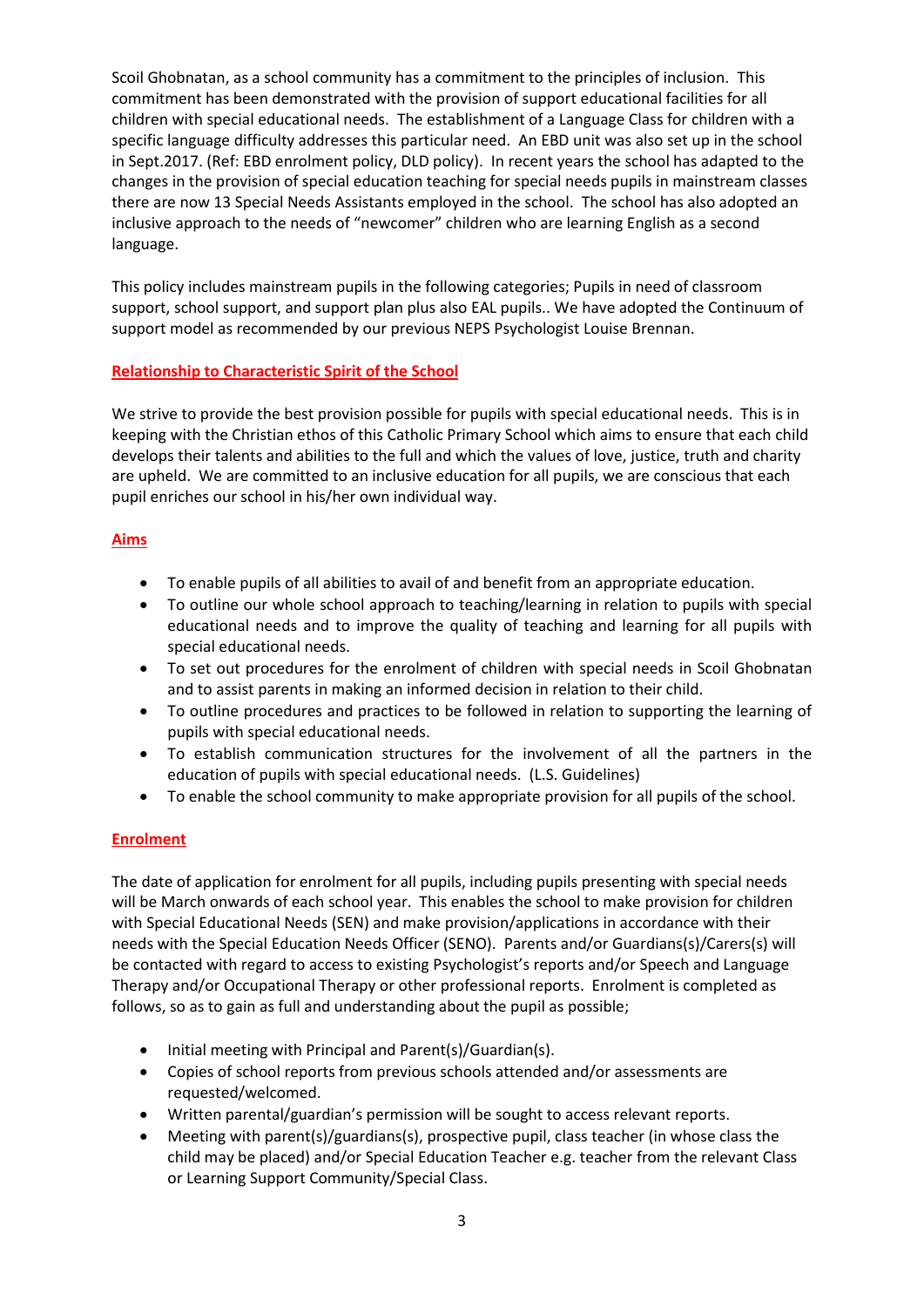Scoil Ghobnatan, as a school community has a commitment to the principles of inclusion. This commitment has been demonstrated with the provision of support educational facilities for all children with special educational needs. The establishment of a Language Class for children with a specific language difficulty addresses this particular need. An EBD unit was also set up in the school in Sept.2017. (Ref: EBD enrolment policy, DLD policy). In recent years the school has adapted to the changes in the provision of special education teaching for special needs pupils in mainstream classes there are now 13 Special Needs Assistants employed in the school. The school has also adopted an inclusive approach to the needs of "newcomer" children who are learning English as a second language.

This policy includes mainstream pupils in the following categories; Pupils in need of classroom support, school support, and support plan plus also EAL pupils.. We have adopted the Continuum of support model as recommended by our previous NEPS Psychologist Louise Brennan.

## **Relationship to Characteristic Spirit of the School**

We strive to provide the best provision possible for pupils with special educational needs. This is in keeping with the Christian ethos of this Catholic Primary School which aims to ensure that each child develops their talents and abilities to the full and which the values of love, justice, truth and charity are upheld. We are committed to an inclusive education for all pupils, we are conscious that each pupil enriches our school in his/her own individual way.

## **Aims**

- To enable pupils of all abilities to avail of and benefit from an appropriate education.
- To outline our whole school approach to teaching/learning in relation to pupils with special educational needs and to improve the quality of teaching and learning for all pupils with special educational needs.
- To set out procedures for the enrolment of children with special needs in Scoil Ghobnatan and to assist parents in making an informed decision in relation to their child.
- To outline procedures and practices to be followed in relation to supporting the learning of pupils with special educational needs.
- To establish communication structures for the involvement of all the partners in the education of pupils with special educational needs. (L.S. Guidelines)
- To enable the school community to make appropriate provision for all pupils of the school.

#### **Enrolment**

The date of application for enrolment for all pupils, including pupils presenting with special needs will be March onwards of each school year. This enables the school to make provision for children with Special Educational Needs (SEN) and make provision/applications in accordance with their needs with the Special Education Needs Officer (SENO). Parents and/or Guardians(s)/Carers(s) will be contacted with regard to access to existing Psychologist's reports and/or Speech and Language Therapy and/or Occupational Therapy or other professional reports. Enrolment is completed as follows, so as to gain as full and understanding about the pupil as possible;

- Initial meeting with Principal and Parent(s)/Guardian(s).
- Copies of school reports from previous schools attended and/or assessments are requested/welcomed.
- Written parental/guardian's permission will be sought to access relevant reports.
- Meeting with parent(s)/guardians(s), prospective pupil, class teacher (in whose class the child may be placed) and/or Special Education Teacher e.g. teacher from the relevant Class or Learning Support Community/Special Class.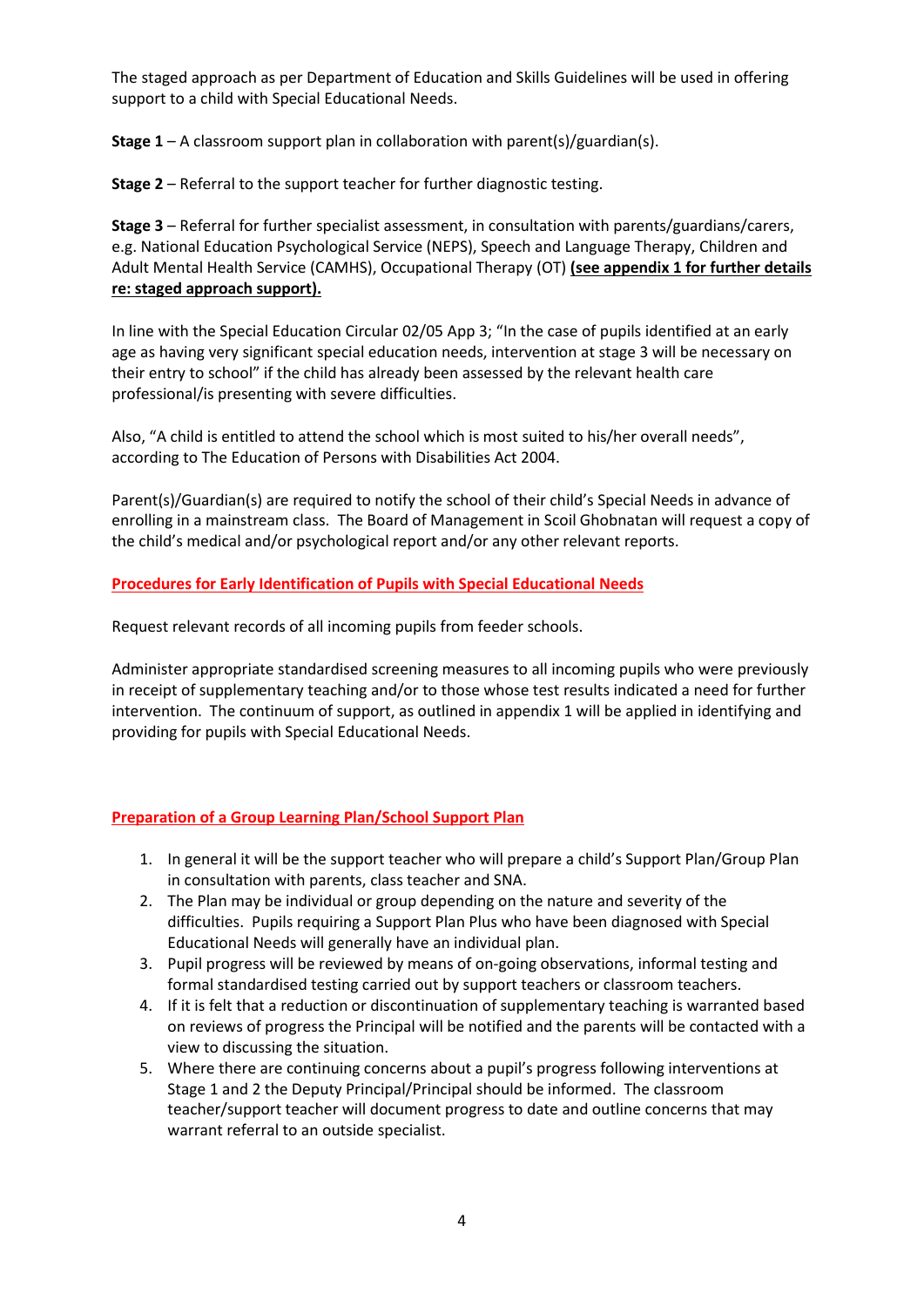The staged approach as per Department of Education and Skills Guidelines will be used in offering support to a child with Special Educational Needs.

**Stage 1** – A classroom support plan in collaboration with parent(s)/guardian(s).

**Stage 2** – Referral to the support teacher for further diagnostic testing.

**Stage 3** – Referral for further specialist assessment, in consultation with parents/guardians/carers, e.g. National Education Psychological Service (NEPS), Speech and Language Therapy, Children and Adult Mental Health Service (CAMHS), Occupational Therapy (OT) **(see appendix 1 for further details re: staged approach support).**

In line with the Special Education Circular 02/05 App 3; "In the case of pupils identified at an early age as having very significant special education needs, intervention at stage 3 will be necessary on their entry to school" if the child has already been assessed by the relevant health care professional/is presenting with severe difficulties.

Also, "A child is entitled to attend the school which is most suited to his/her overall needs", according to The Education of Persons with Disabilities Act 2004.

Parent(s)/Guardian(s) are required to notify the school of their child's Special Needs in advance of enrolling in a mainstream class. The Board of Management in Scoil Ghobnatan will request a copy of the child's medical and/or psychological report and/or any other relevant reports.

## **Procedures for Early Identification of Pupils with Special Educational Needs**

Request relevant records of all incoming pupils from feeder schools.

Administer appropriate standardised screening measures to all incoming pupils who were previously in receipt of supplementary teaching and/or to those whose test results indicated a need for further intervention. The continuum of support, as outlined in appendix 1 will be applied in identifying and providing for pupils with Special Educational Needs.

# **Preparation of a Group Learning Plan/School Support Plan**

- 1. In general it will be the support teacher who will prepare a child's Support Plan/Group Plan in consultation with parents, class teacher and SNA.
- 2. The Plan may be individual or group depending on the nature and severity of the difficulties. Pupils requiring a Support Plan Plus who have been diagnosed with Special Educational Needs will generally have an individual plan.
- 3. Pupil progress will be reviewed by means of on-going observations, informal testing and formal standardised testing carried out by support teachers or classroom teachers.
- 4. If it is felt that a reduction or discontinuation of supplementary teaching is warranted based on reviews of progress the Principal will be notified and the parents will be contacted with a view to discussing the situation.
- 5. Where there are continuing concerns about a pupil's progress following interventions at Stage 1 and 2 the Deputy Principal/Principal should be informed. The classroom teacher/support teacher will document progress to date and outline concerns that may warrant referral to an outside specialist.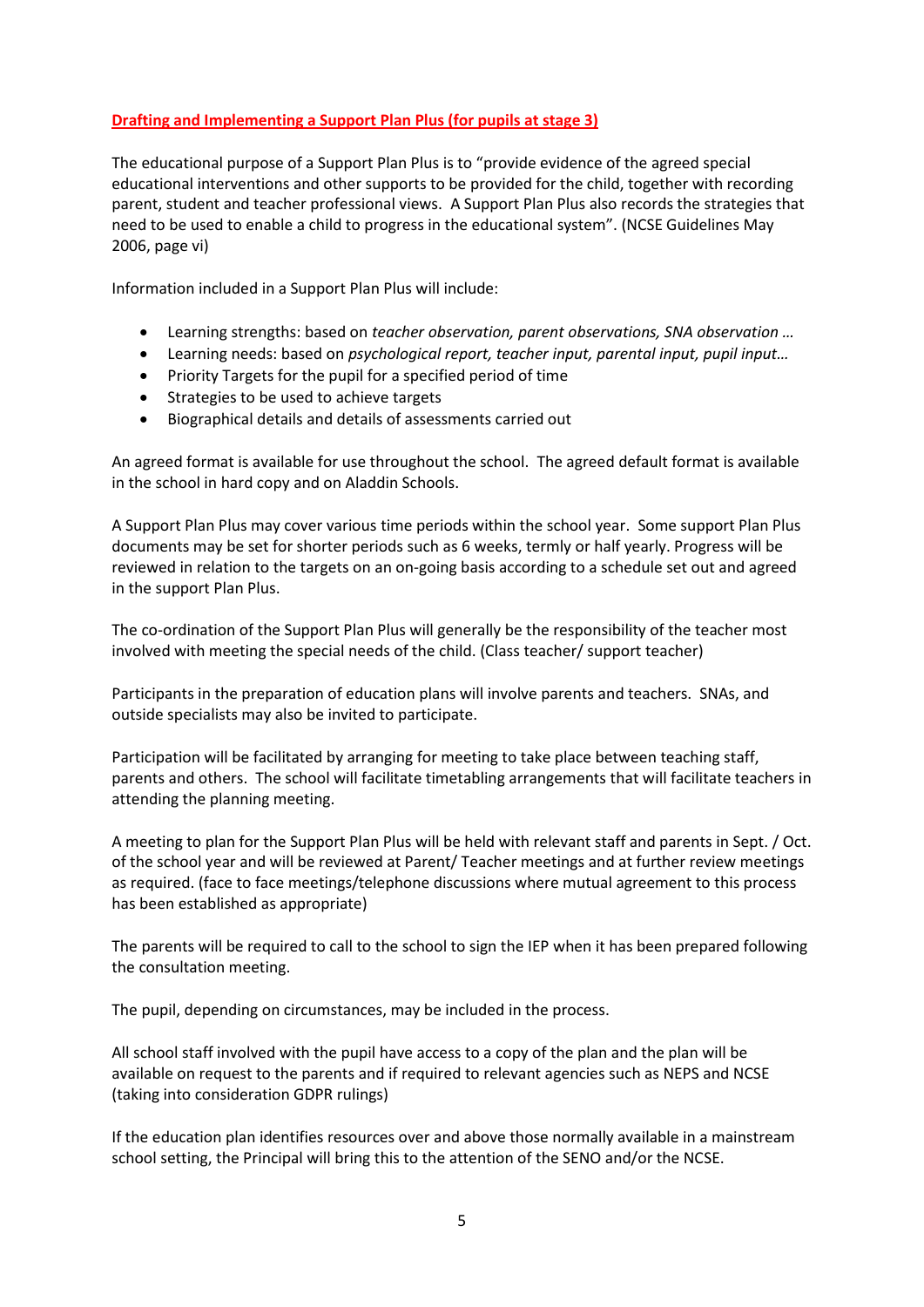# **Drafting and Implementing a Support Plan Plus (for pupils at stage 3)**

The educational purpose of a Support Plan Plus is to "provide evidence of the agreed special educational interventions and other supports to be provided for the child, together with recording parent, student and teacher professional views. A Support Plan Plus also records the strategies that need to be used to enable a child to progress in the educational system". (NCSE Guidelines May 2006, page vi)

Information included in a Support Plan Plus will include:

- Learning strengths: based on *teacher observation, parent observations, SNA observation …*
- Learning needs: based on *psychological report, teacher input, parental input, pupil input…*
- Priority Targets for the pupil for a specified period of time
- Strategies to be used to achieve targets
- Biographical details and details of assessments carried out

An agreed format is available for use throughout the school. The agreed default format is available in the school in hard copy and on Aladdin Schools.

A Support Plan Plus may cover various time periods within the school year. Some support Plan Plus documents may be set for shorter periods such as 6 weeks, termly or half yearly. Progress will be reviewed in relation to the targets on an on-going basis according to a schedule set out and agreed in the support Plan Plus.

The co-ordination of the Support Plan Plus will generally be the responsibility of the teacher most involved with meeting the special needs of the child. (Class teacher/ support teacher)

Participants in the preparation of education plans will involve parents and teachers. SNAs, and outside specialists may also be invited to participate.

Participation will be facilitated by arranging for meeting to take place between teaching staff, parents and others. The school will facilitate timetabling arrangements that will facilitate teachers in attending the planning meeting.

A meeting to plan for the Support Plan Plus will be held with relevant staff and parents in Sept. / Oct. of the school year and will be reviewed at Parent/ Teacher meetings and at further review meetings as required. (face to face meetings/telephone discussions where mutual agreement to this process has been established as appropriate)

The parents will be required to call to the school to sign the IEP when it has been prepared following the consultation meeting.

The pupil, depending on circumstances, may be included in the process.

All school staff involved with the pupil have access to a copy of the plan and the plan will be available on request to the parents and if required to relevant agencies such as NEPS and NCSE (taking into consideration GDPR rulings)

If the education plan identifies resources over and above those normally available in a mainstream school setting, the Principal will bring this to the attention of the SENO and/or the NCSE.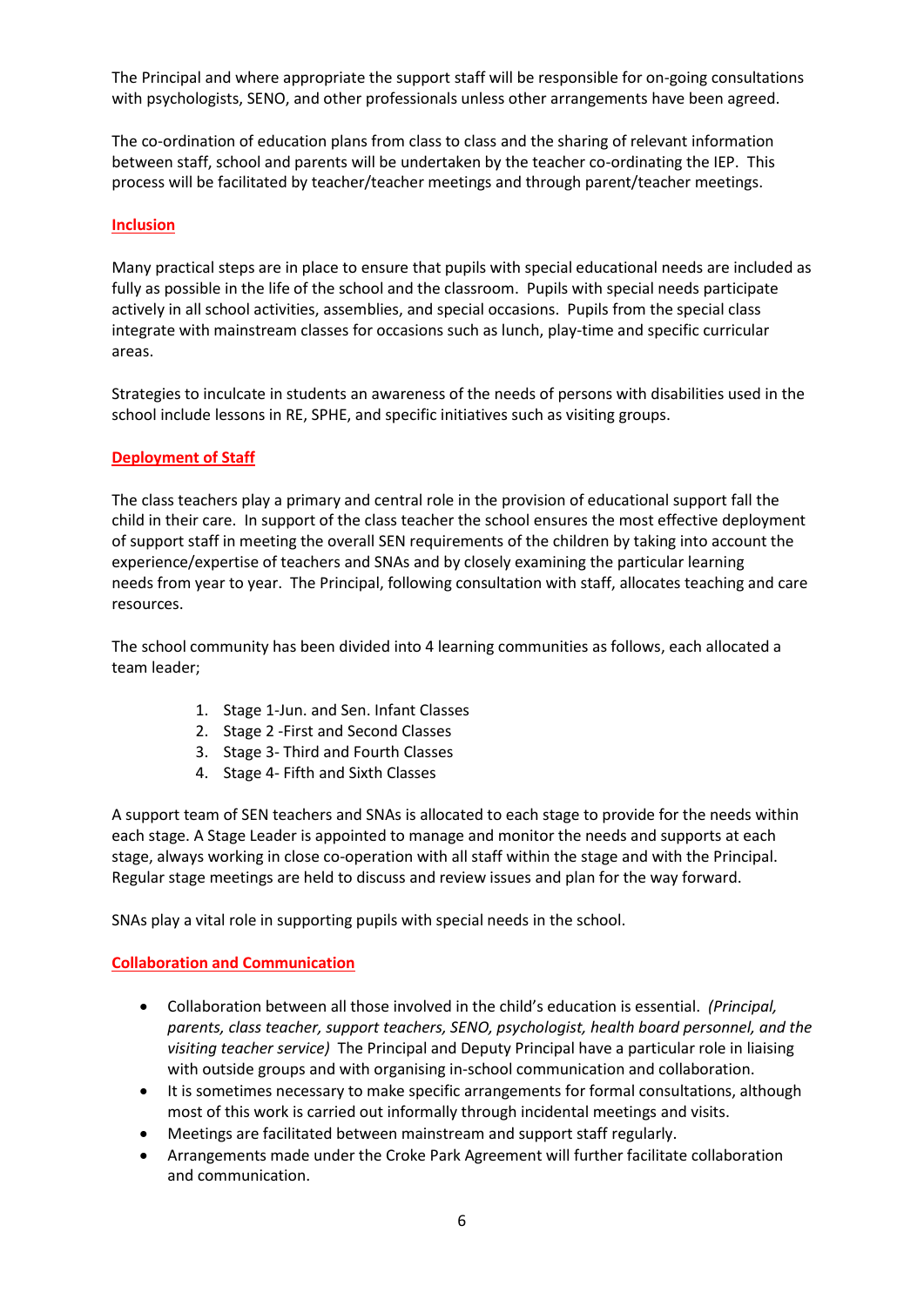The Principal and where appropriate the support staff will be responsible for on-going consultations with psychologists, SENO, and other professionals unless other arrangements have been agreed.

The co-ordination of education plans from class to class and the sharing of relevant information between staff, school and parents will be undertaken by the teacher co-ordinating the IEP. This process will be facilitated by teacher/teacher meetings and through parent/teacher meetings.

## **Inclusion**

Many practical steps are in place to ensure that pupils with special educational needs are included as fully as possible in the life of the school and the classroom. Pupils with special needs participate actively in all school activities, assemblies, and special occasions. Pupils from the special class integrate with mainstream classes for occasions such as lunch, play-time and specific curricular areas.

Strategies to inculcate in students an awareness of the needs of persons with disabilities used in the school include lessons in RE, SPHE, and specific initiatives such as visiting groups.

## **Deployment of Staff**

The class teachers play a primary and central role in the provision of educational support fall the child in their care. In support of the class teacher the school ensures the most effective deployment of support staff in meeting the overall SEN requirements of the children by taking into account the experience/expertise of teachers and SNAs and by closely examining the particular learning needs from year to year. The Principal, following consultation with staff, allocates teaching and care resources.

The school community has been divided into 4 learning communities as follows, each allocated a team leader;

- 1. Stage 1-Jun. and Sen. Infant Classes
- 2. Stage 2 -First and Second Classes
- 3. Stage 3- Third and Fourth Classes
- 4. Stage 4- Fifth and Sixth Classes

A support team of SEN teachers and SNAs is allocated to each stage to provide for the needs within each stage. A Stage Leader is appointed to manage and monitor the needs and supports at each stage, always working in close co-operation with all staff within the stage and with the Principal. Regular stage meetings are held to discuss and review issues and plan for the way forward.

SNAs play a vital role in supporting pupils with special needs in the school.

#### **Collaboration and Communication**

- Collaboration between all those involved in the child's education is essential. *(Principal, parents, class teacher, support teachers, SENO, psychologist, health board personnel, and the visiting teacher service)* The Principal and Deputy Principal have a particular role in liaising with outside groups and with organising in-school communication and collaboration.
- It is sometimes necessary to make specific arrangements for formal consultations, although most of this work is carried out informally through incidental meetings and visits.
- Meetings are facilitated between mainstream and support staff regularly.
- Arrangements made under the Croke Park Agreement will further facilitate collaboration and communication.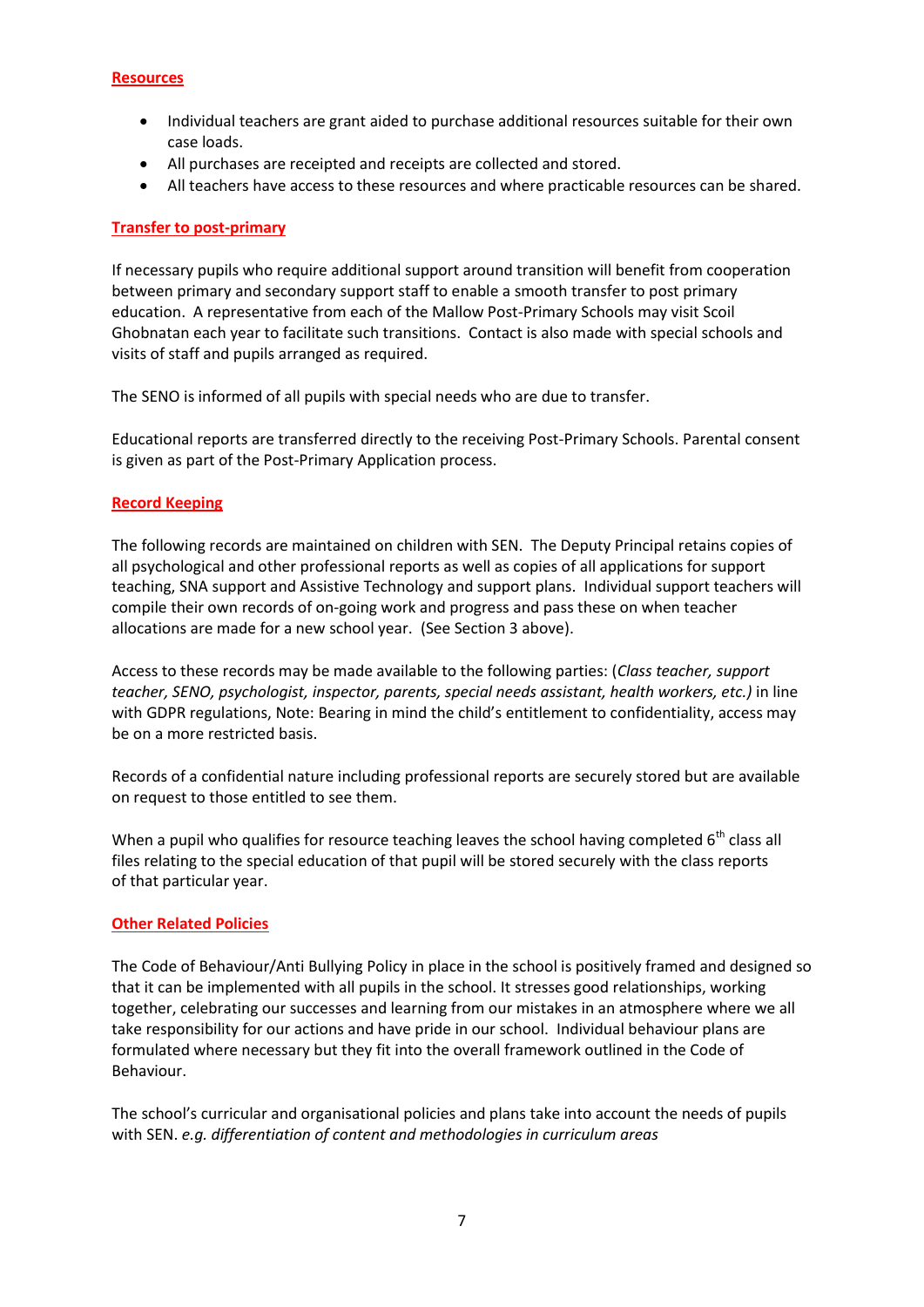#### **Resources**

- Individual teachers are grant aided to purchase additional resources suitable for their own case loads.
- All purchases are receipted and receipts are collected and stored.
- All teachers have access to these resources and where practicable resources can be shared.

## **Transfer to post-primary**

If necessary pupils who require additional support around transition will benefit from cooperation between primary and secondary support staff to enable a smooth transfer to post primary education. A representative from each of the Mallow Post-Primary Schools may visit Scoil Ghobnatan each year to facilitate such transitions. Contact is also made with special schools and visits of staff and pupils arranged as required.

The SENO is informed of all pupils with special needs who are due to transfer.

Educational reports are transferred directly to the receiving Post-Primary Schools. Parental consent is given as part of the Post-Primary Application process.

## **Record Keeping**

The following records are maintained on children with SEN. The Deputy Principal retains copies of all psychological and other professional reports as well as copies of all applications for support teaching, SNA support and Assistive Technology and support plans. Individual support teachers will compile their own records of on-going work and progress and pass these on when teacher allocations are made for a new school year. (See Section 3 above).

Access to these records may be made available to the following parties: (*Class teacher, support teacher, SENO, psychologist, inspector, parents, special needs assistant, health workers, etc.)* in line with GDPR regulations, Note: Bearing in mind the child's entitlement to confidentiality, access may be on a more restricted basis.

Records of a confidential nature including professional reports are securely stored but are available on request to those entitled to see them.

When a pupil who qualifies for resource teaching leaves the school having completed  $6<sup>th</sup>$  class all files relating to the special education of that pupil will be stored securely with the class reports of that particular year.

#### **Other Related Policies**

The Code of Behaviour/Anti Bullying Policy in place in the school is positively framed and designed so that it can be implemented with all pupils in the school. It stresses good relationships, working together, celebrating our successes and learning from our mistakes in an atmosphere where we all take responsibility for our actions and have pride in our school. Individual behaviour plans are formulated where necessary but they fit into the overall framework outlined in the Code of Behaviour.

The school's curricular and organisational policies and plans take into account the needs of pupils with SEN. *e.g. differentiation of content and methodologies in curriculum areas*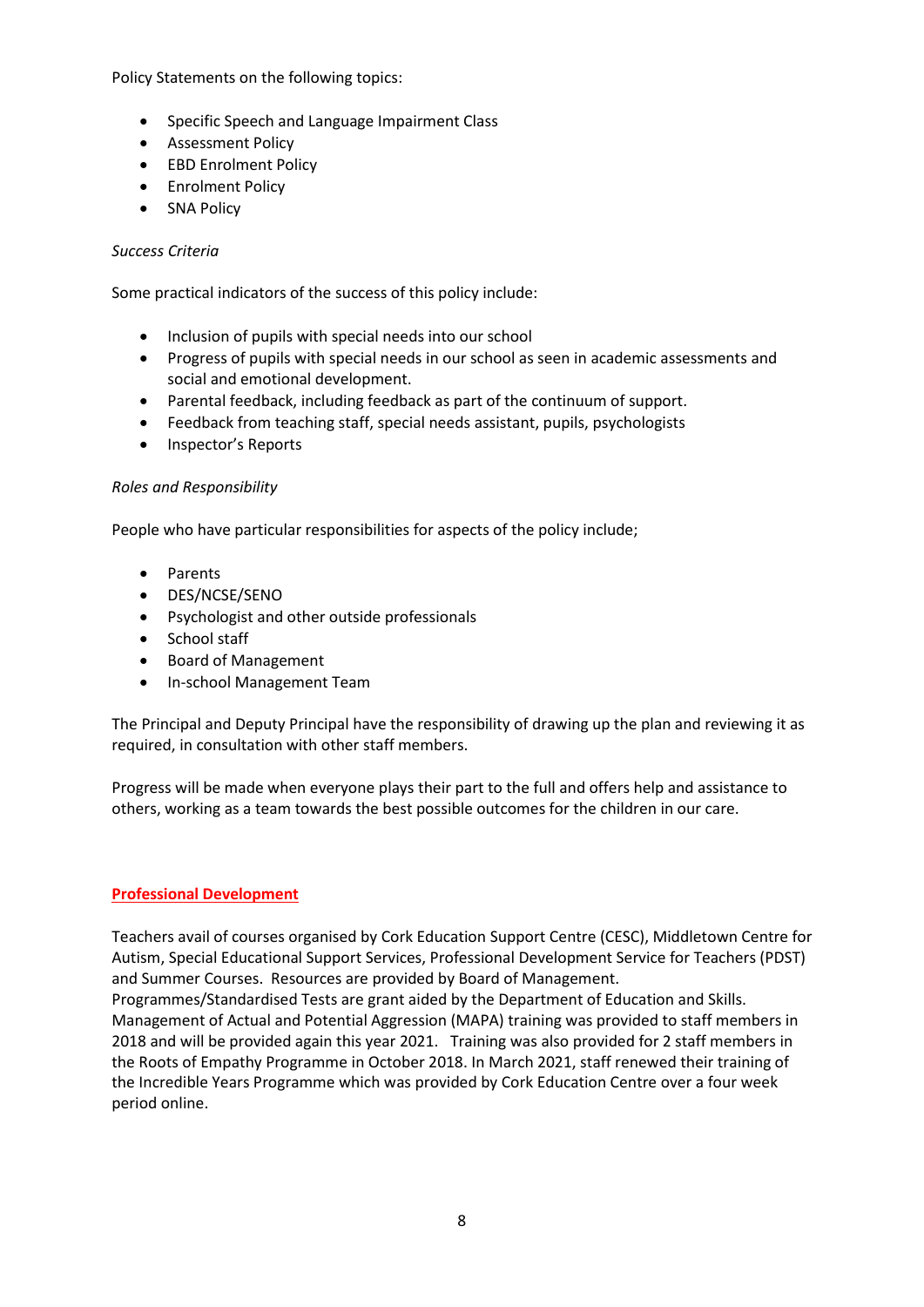Policy Statements on the following topics:

- Specific Speech and Language Impairment Class
- Assessment Policy
- EBD Enrolment Policy
- **•** Enrolment Policy
- SNA Policy

## *Success Criteria*

Some practical indicators of the success of this policy include:

- Inclusion of pupils with special needs into our school
- Progress of pupils with special needs in our school as seen in academic assessments and social and emotional development.
- Parental feedback, including feedback as part of the continuum of support.
- Feedback from teaching staff, special needs assistant, pupils, psychologists
- Inspector's Reports

#### *Roles and Responsibility*

People who have particular responsibilities for aspects of the policy include;

- Parents
- DES/NCSE/SENO
- Psychologist and other outside professionals
- School staff
- Board of Management
- In-school Management Team

The Principal and Deputy Principal have the responsibility of drawing up the plan and reviewing it as required, in consultation with other staff members.

Progress will be made when everyone plays their part to the full and offers help and assistance to others, working as a team towards the best possible outcomes for the children in our care.

# **Professional Development**

Teachers avail of courses organised by Cork Education Support Centre (CESC), Middletown Centre for Autism, Special Educational Support Services, Professional Development Service for Teachers (PDST) and Summer Courses. Resources are provided by Board of Management.

Programmes/Standardised Tests are grant aided by the Department of Education and Skills. Management of Actual and Potential Aggression (MAPA) training was provided to staff members in 2018 and will be provided again this year 2021. Training was also provided for 2 staff members in the Roots of Empathy Programme in October 2018. In March 2021, staff renewed their training of the Incredible Years Programme which was provided by Cork Education Centre over a four week period online.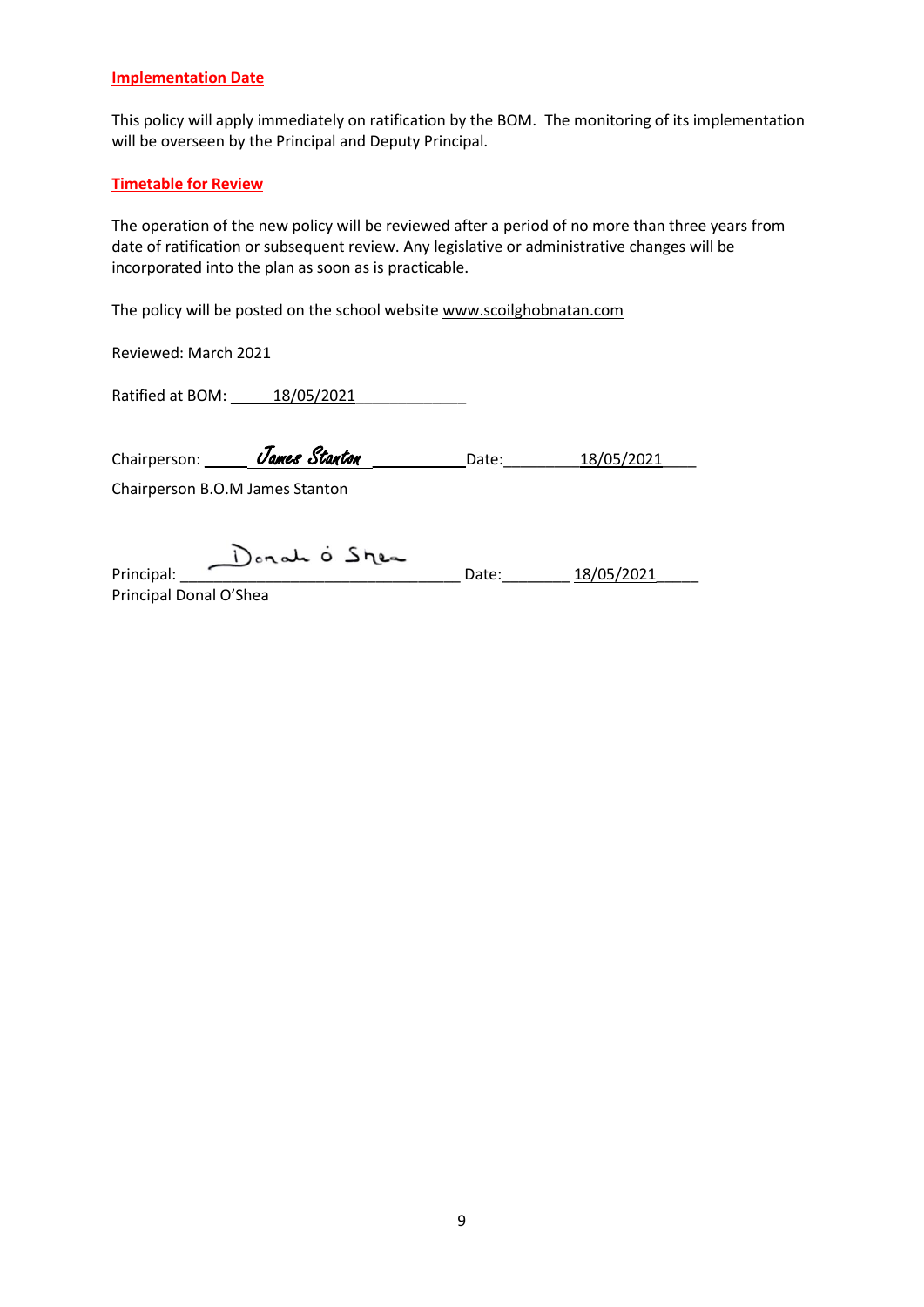#### **Implementation Date**

This policy will apply immediately on ratification by the BOM. The monitoring of its implementation will be overseen by the Principal and Deputy Principal.

#### **Timetable for Review**

The operation of the new policy will be reviewed after a period of no more than three years from date of ratification or subsequent review. Any legislative or administrative changes will be incorporated into the plan as soon as is practicable.

The policy will be posted on the school website [www.scoilghobnatan.com](http://www.stolivers.ie/)

Reviewed: March 2021

Ratified at BOM: \_\_\_\_\_18/05/2021\_\_\_\_\_\_\_\_\_\_\_\_\_

| Chairperson:                                                                                | James Stanton                   | Date: | 18/05/2021 |
|---------------------------------------------------------------------------------------------|---------------------------------|-------|------------|
|                                                                                             | Chairperson B.O.M James Stanton |       |            |
|                                                                                             | Donate O Shea                   |       |            |
| Principal:<br>$P: \mathbb{R}^n \times \mathbb{R}^n \times \mathbb{R}^n \times \mathbb{R}^n$ |                                 | Date: | 18/05/2021 |

Principal Donal O'Shea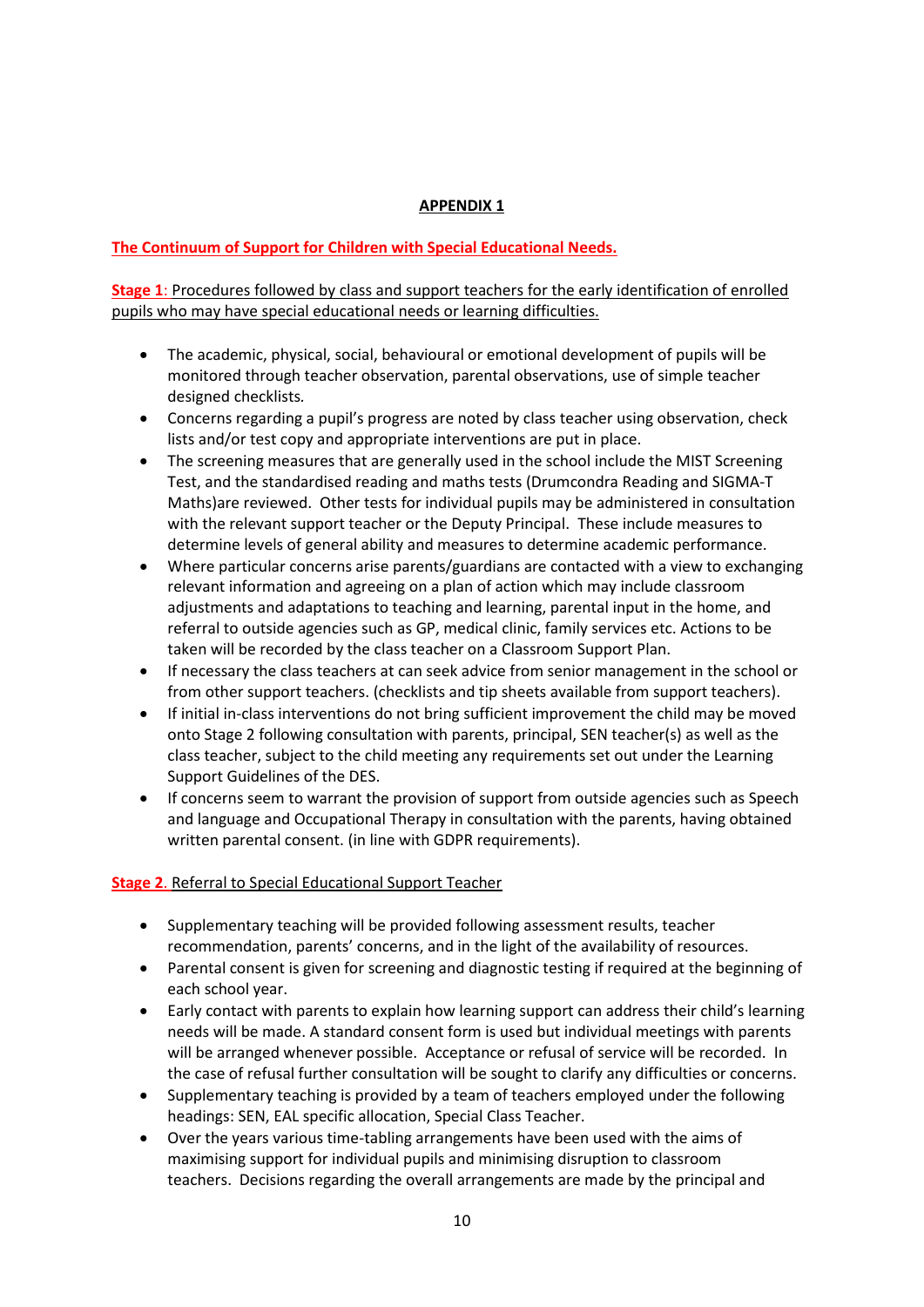# **APPENDIX 1**

# **The Continuum of Support for Children with Special Educational Needs.**

**Stage 1**: Procedures followed by class and support teachers for the early identification of enrolled pupils who may have special educational needs or learning difficulties.

- The academic, physical, social, behavioural or emotional development of pupils will be monitored through teacher observation, parental observations, use of simple teacher designed checklists*.*
- Concerns regarding a pupil's progress are noted by class teacher using observation, check lists and/or test copy and appropriate interventions are put in place.
- The screening measures that are generally used in the school include the MIST Screening Test, and the standardised reading and maths tests (Drumcondra Reading and SIGMA-T Maths)are reviewed. Other tests for individual pupils may be administered in consultation with the relevant support teacher or the Deputy Principal. These include measures to determine levels of general ability and measures to determine academic performance.
- Where particular concerns arise parents/guardians are contacted with a view to exchanging relevant information and agreeing on a plan of action which may include classroom adjustments and adaptations to teaching and learning, parental input in the home, and referral to outside agencies such as GP, medical clinic, family services etc. Actions to be taken will be recorded by the class teacher on a Classroom Support Plan.
- If necessary the class teachers at can seek advice from senior management in the school or from other support teachers. (checklists and tip sheets available from support teachers).
- If initial in-class interventions do not bring sufficient improvement the child may be moved onto Stage 2 following consultation with parents, principal, SEN teacher(s) as well as the class teacher, subject to the child meeting any requirements set out under the Learning Support Guidelines of the DES.
- If concerns seem to warrant the provision of support from outside agencies such as Speech and language and Occupational Therapy in consultation with the parents, having obtained written parental consent. (in line with GDPR requirements).

# **Stage 2**. Referral to Special Educational Support Teacher

- Supplementary teaching will be provided following assessment results, teacher recommendation, parents' concerns, and in the light of the availability of resources.
- Parental consent is given for screening and diagnostic testing if required at the beginning of each school year.
- Early contact with parents to explain how learning support can address their child's learning needs will be made. A standard consent form is used but individual meetings with parents will be arranged whenever possible. Acceptance or refusal of service will be recorded. In the case of refusal further consultation will be sought to clarify any difficulties or concerns.
- Supplementary teaching is provided by a team of teachers employed under the following headings: SEN, EAL specific allocation, Special Class Teacher.
- Over the years various time-tabling arrangements have been used with the aims of maximising support for individual pupils and minimising disruption to classroom teachers. Decisions regarding the overall arrangements are made by the principal and